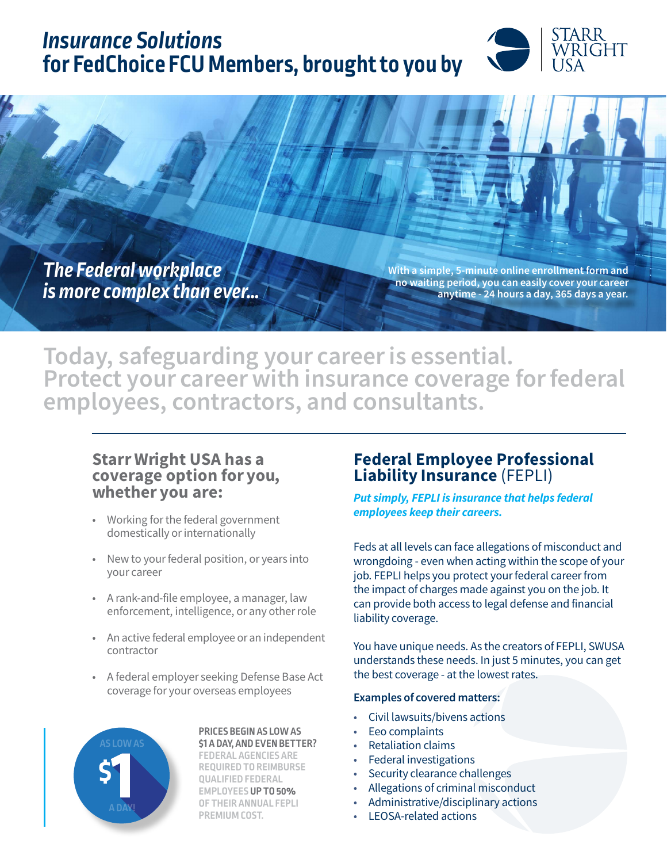# *Insurance Solutions*  **for FedChoice FCU Members, brought to you by**



*The Federal workplace is more complex than ever…*

With a simple, 5-minute online enrollment form and no waiting period, you can easily cover your career anytime - 24 hours a day, 365 days a year.

Today, safeguarding your career is essential. Protect your career with insurance coverage for federal employees, contractors, and consultants.

## Starr Wright USA has a coverage option for you, whether you are:

- Working for the federal government domestically or internationally
- New to your federal position, or years into your career
- A rank-and-file employee, a manager, law enforcement, intelligence, or any other role
- An active federal employee or an independent contractor
- A federal employer seeking Defense Base Act coverage for your overseas employees



#### **PRICES BEGIN AS LOW AS \$1 A DAY, AND EVEN BETTER?**

**FEDERAL AGENCIES ARE REQUIRED TO REIMBURSE QUALIFIED FEDERAL EMPLOYEES UP TO 50% OF THEIR ANNUAL FEPLI PREMIUM COST.**

## Federal Employee Professional Liability Insurance (FEPLI)

*Put simply, FEPLI is insurance that helps federal employees keep their careers.* 

Feds at all levels can face allegations of misconduct and wrongdoing - even when acting within the scope of your job. FEPLI helps you protect your federal career from the impact of charges made against you on the job. It can provide both access to legal defense and financial liability coverage.

You have unique needs. As the creators of FEPLI, SWUSA understands these needs. In just 5 minutes, you can get the best coverage - at the lowest rates.

### Examples of covered matters:

- Civil lawsuits/bivens actions
- Eeo complaints
- Retaliation claims
- Federal investigations
- Security clearance challenges
- Allegations of criminal misconduct
- Administrative/disciplinary actions
- LEOSA-related actions